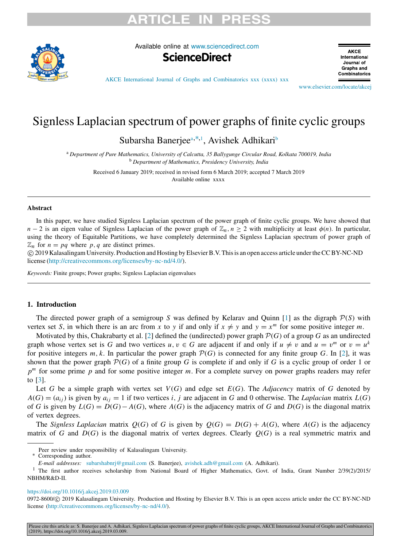# RTICLE IN



Available online at [www.sciencedirect.com](http://www.elsevier.com/locate/akcej)



**AKCE** International Journal of Graphs and Combinatorics

[AKCE International Journal of Graphs and Combinatorics xxx \(xxxx\) xxx](https://doi.org/10.1016/j.akcej.2019.03.009)

[www.elsevier.com/locate/akcej](http://www.elsevier.com/locate/akcej)

## Signless Laplacian spectrum of power graphs of finite cyclic groups

<span id="page-0-3"></span>Sub[a](#page-0-0)rsha Banerjee<sup>a,\*,[1](#page-0-2)</sup>, Avishek Adhikari<sup>[b](#page-0-3)</sup>

<span id="page-0-0"></span><sup>a</sup> *Department of Pure Mathematics, University of Calcutta, 35 Ballygunge Circular Road, Kolkata 700019, India* <sup>b</sup> *Department of Mathematics, Presidency University, India*

Received 6 January 2019; received in revised form 6 March 2019; accepted 7 March 2019 Available online xxxx

### Abstract

In this paper, we have studied Signless Laplacian spectrum of the power graph of finite cyclic groups. We have showed that *n* − 2 is an eigen value of Signless Laplacian of the power graph of  $\mathbb{Z}_n$ , *n* ≥ 2 with multiplicity at least  $\phi(n)$ . In particular, using the theory of Equitable Partitions, we have completely determined the Signless Laplacian spectrum of power graph of  $\mathbb{Z}_n$  for  $n = pq$  where p, q are distinct primes.

⃝c 2019 Kalasalingam University. Production and Hosting by Elsevier B.V. This is an open access article under the CC BY-NC-ND license [\(http://creativecommons.org/licenses/by-nc-nd/4.0/\)](http://creativecommons.org/licenses/by-nc-nd/4.0/).

*Keywords:* Finite groups; Power graphs; Signless Laplacian eigenvalues

### 1. Introduction

The directed power graph of a semigroup *S* was defined by Kelarav and Quinn [[1\]](#page-10-0) as the digraph  $P(S)$  with vertex set *S*, in which there is an arc from *x* to *y* if and only if  $x \neq y$  and  $y = x^m$  for some positive integer *m*.

Motivated by this, Chakrabarty et al. [\[2](#page-10-1)] defined the (undirected) power graph  $\mathcal{P}(G)$  of a group *G* as an undirected graph whose vertex set is G and two vertices  $u, v \in G$  are adjacent if and only if  $u \neq v$  and  $u = v^m$  or  $v = u^k$ for positive integers  $m, k$ . In particular the power graph  $\mathcal{P}(G)$  is connected for any finite group *G*. In [\[2](#page-10-1)], it was shown that the power graph  $P(G)$  of a finite group *G* is complete if and only if *G* is a cyclic group of order 1 or *p <sup>m</sup>* for some prime *p* and for some positive integer *m*. For a complete survey on power graphs readers may refer to [[3](#page-10-2)].

Let *G* be a simple graph with vertex set *V*(*G*) and edge set *E*(*G*). The *Adjacency* matrix of *G* denoted by  $A(G) = (a_{ij})$  is given by  $a_{ij} = 1$  if two vertices *i*, *j* are adjacent in *G* and 0 otherwise. The *Laplacian* matrix  $L(G)$ of *G* is given by  $L(G) = D(G) - A(G)$ , where  $A(G)$  is the adjacency matrix of *G* and  $D(G)$  is the diagonal matrix of vertex degrees.

The *Signless Laplacian* matrix  $Q(G)$  of *G* is given by  $Q(G) = D(G) + A(G)$ , where  $A(G)$  is the adjacency matrix of *G* and  $D(G)$  is the diagonal matrix of vertex degrees. Clearly  $Q(G)$  is a real symmetric matrix and

### <https://doi.org/10.1016/j.akcej.2019.03.009>

0972-8600/© 2019 Kalasalingam University. Production and Hosting by Elsevier B.V. This is an open access article under the CC BY-NC-ND license [\(http://creativecommons.org/licenses/by-nc-nd/4.0/](http://creativecommons.org/licenses/by-nc-nd/4.0/)).

Please cite this article as: S. Banerjee and A. Adhikari, Signless Laplacian spectrum of power graphs of finite cyclic groups, AKCE International Journal of Graphs and Combinatorics (2019), https://doi.org/10.1016/j.akcej.2019.03.009.

Peer review under responsibility of Kalasalingam University.

<span id="page-0-1"></span>Corresponding author.

<span id="page-0-2"></span>*E-mail addresses:* [subarshabnrj@gmail.com](mailto:subarshabnrj@gmail.com) (S. Banerjee), [avishek.adh@gmail.com](mailto:avishek.adh@gmail.com) (A. Adhikari).

<sup>&</sup>lt;sup>1</sup> The first author receives scholarship from National Board of Higher Mathematics, Govt. of India, Grant Number 2/39(2)/2015/ NBHM/R&D-II.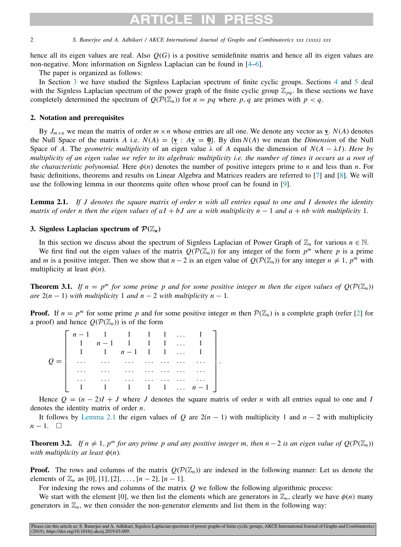## ARTICLE IN

2 *S. Banerjee and A. Adhikari / AKCE International Journal of Graphs and Combinatorics xxx (xxxx) xxx*

hence all its eigen values are real. Also *Q*(*G*) is a positive semidefinite matrix and hence all its eigen values are non-negative. More information on Signless Laplacian can be found in [[4–](#page-10-3)[6\]](#page-10-4).

The paper is organized as follows:

In Section [3](#page-1-0) we have studied the Signless Laplacian spectrum of finite cyclic groups. Sections [4](#page-2-0) and [5](#page-7-0) deal with the Signless Laplacian spectrum of the power graph of the finite cyclic group  $\mathbb{Z}_{pq}$ . In these sections we have completely determined the spectrum of  $Q(\mathcal{P}(\mathbb{Z}_n))$  for  $n = pq$  where p, q are primes with  $p < q$ .

### 2. Notation and prerequisites

By  $J_{m \times n}$  we mean the matrix of order  $m \times n$  whose entries are all one. We denote any vector as **v**.  $N(A)$  denotes the Null Space of the matrix *A* i.e.  $N(A) = \{v : Av = 0\}$ . By dim  $N(A)$  we mean the *Dimension* of the Null Space of *A*. The *geometric multiplicity* of an eigen value  $\lambda$  of *A* equals the dimension of  $N(A - \lambda I)$ . Here by *multiplicity of an eigen value we refer to its algebraic multiplicity i.e. the number of times it occurs as a root of the characteristic polynomial.* Here  $\phi(n)$  denotes the number of positive integers prime to *n* and less than *n*. For basic definitions, theorems and results on Linear Algebra and Matrices readers are referred to [[7\]](#page-10-5) and [\[8](#page-10-6)]. We will use the following lemma in our theorems quite often whose proof can be found in [[9](#page-10-7)].

<span id="page-1-1"></span>Lemma 2.1. *If J denotes the square matrix of order n with all entries equal to one and I denotes the identity matrix of order n then the eigen values of aI* + *bJ* are a with multiplicity  $n - 1$  and  $a + nb$  with multiplicity 1.

### 3. Signless Laplacian spectrum of  $\mathcal{P}(\mathbb{Z}_n)$

<span id="page-1-0"></span>In this section we discuss about the spectrum of Signless Laplacian of Power Graph of  $\mathbb{Z}_n$  for various  $n \in \mathbb{N}$ .

We first find out the eigen values of the matrix  $Q(P(\mathbb{Z}_n))$  for any integer of the form  $p^m$  where p is a prime and *m* is a positive integer. Then we show that *n* − 2 is an eigen value of  $Q(\mathcal{P}(\mathbb{Z}_n))$  for any integer  $n \neq 1$ ,  $p^m$  with multiplicity at least  $\phi(n)$ .

**Theorem 3.1.** If  $n = p^m$  for some prime p and for some positive integer m then the eigen values of  $Q(\mathcal{P}(\mathbb{Z}_n))$ *are*  $2(n - 1)$  *with multiplicity* 1 *and*  $n - 2$  *with multiplicity*  $n - 1$ *.* 

**Proof.** If  $n = p^m$  for some prime p and for some positive integer m then  $P(\mathbb{Z}_n)$  is a complete graph (refer [\[2](#page-10-1)] for a proof) and hence  $Q(\mathcal{P}(\mathbb{Z}_n))$  is of the form

| $n-1$ 1 1 1 1  1 |                                                            |  |                        |  |
|------------------|------------------------------------------------------------|--|------------------------|--|
|                  | $1 \quad n-1 \quad 1 \quad 1 \quad 1 \quad \ldots \quad 1$ |  |                        |  |
|                  | 1 1 $n-1$ 1 1  1                                           |  |                        |  |
|                  |                                                            |  |                        |  |
|                  |                                                            |  |                        |  |
|                  |                                                            |  |                        |  |
|                  |                                                            |  | 1 1 1 1 $\ldots$ n - 1 |  |

Hence  $Q = (n-2)I + J$  where *J* denotes the square matrix of order *n* with all entries equal to one and *I* denotes the identity matrix of order *n*.

It follows by [Lemma](#page-1-1) [2.1](#page-1-1) the eigen values of *Q* are  $2(n - 1)$  with multiplicity 1 and  $n - 2$  with multiplicity  $n-1$ .  $\Box$ 

<span id="page-1-2"></span>**Theorem 3.2.** *If*  $n \neq 1$ ,  $p^m$  *for any prime p and any positive integer m, then n* − 2 *is an eigen value of*  $Q(\mathcal{P}(\mathbb{Z}_n))$ *with multiplicity at least*  $\phi(n)$ *.* 

**Proof.** The rows and columns of the matrix  $Q(\mathcal{P}(\mathbb{Z}_n))$  are indexed in the following manner: Let us denote the elements of  $\mathbb{Z}_n$  as [0], [1], [2], ...,  $[n-2]$ ,  $[n-1]$ .

For indexing the rows and columns of the matrix *Q* we follow the following algorithmic process:

We start with the element [0], we then list the elements which are generators in  $\mathbb{Z}_n$ , clearly we have  $\phi(n)$  many generators in  $\mathbb{Z}_n$ , we then consider the non-generator elements and list them in the following way: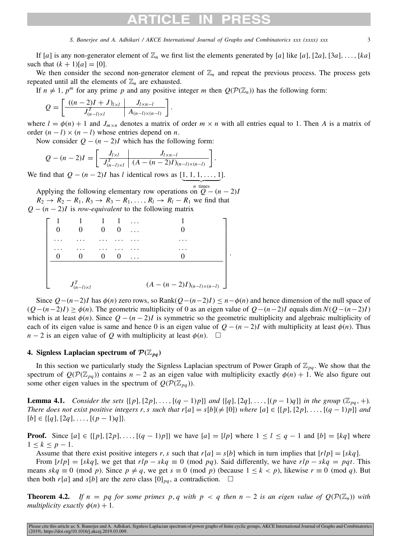## RTICI F IN

*S. Banerjee and A. Adhikari / AKCE International Journal of Graphs and Combinatorics xxx (xxxx) xxx* 3

If [*a*] is any non-generator element of  $\mathbb{Z}_n$  we first list the elements generated by [*a*] like [*a*], [2*a*], [3*a*], . . . , [*ka*] such that  $(k + 1)[a] = [0]$ .

We then consider the second non-generator element of  $\mathbb{Z}_n$  and repeat the previous process. The process gets repeated until all the elements of  $\mathbb{Z}_n$  are exhausted.

If  $n \neq 1$ ,  $p^m$  for any prime p and any positive integer m then  $Q(\mathcal{P}(\mathbb{Z}_n))$  has the following form:

$$
Q = \left[ \frac{((n-2)I + J)_{l \times l}}{J_{(n-l) \times l}^T} \middle| \frac{J_{l \times n-l}}{A_{(n-l) \times (n-l)}} \right].
$$

where  $l = \phi(n) + 1$  and  $J_{m \times n}$  denotes a matrix of order  $m \times n$  with all entries equal to 1. Then *A* is a matrix of order  $(n - l) \times (n - l)$  whose entries depend on *n*.

Now consider  $Q - (n-2)I$  which has the following form:

$$
Q - (n-2)I = \left[ \begin{array}{c|c} J_{l \times l} & J_{l \times n-l} \\ \hline J_{(n-l) \times l}^T & (A - (n-2)I)_{(n-l) \times (n-l)} \end{array} \right].
$$

We find that  $Q - (n-2)I$  has *l* identical rows as  $[1, 1, 1, \ldots, 1]$ .

Applying the following elementary row operations on  $\overline{Q}$  − (*n* − 2)*I*  $R_2 \rightarrow R_2 - R_1, R_3 \rightarrow R_3 - R_1, \ldots, R_l \rightarrow R_l - R_1$  we find that *Q* − (*n* − 2)*I* is *row-equivalent* to the following matrix

|          |                       | $\sim$ 1<br>$\theta$ | $\blacksquare$<br>$\overline{\mathbf{0}}$ | $\cdots$ |                                     |  |
|----------|-----------------------|----------------------|-------------------------------------------|----------|-------------------------------------|--|
|          |                       |                      |                                           |          |                                     |  |
| $\theta$ | $\mathbf{0}$          | 0                    | $\theta$                                  |          | 0                                   |  |
|          | $J^T_{(n-l)\times l}$ |                      |                                           |          | $(A - (n - 2)I)_{(n-l)\times(n-l)}$ |  |

Since  $Q-(n-2)I$  has  $\phi(n)$  zero rows, so Rank $(Q-(n-2)I) \leq n-\phi(n)$  and hence dimension of the null space of  $(Q-(n-2)I)$  >  $\phi(n)$ . The geometric multiplicity of 0 as an eigen value of  $Q-(n-2)I$  equals dim  $N(Q-(n-2)I)$ which is at least  $\phi(n)$ . Since  $Q - (n-2)I$  is symmetric so the geometric multiplicity and algebraic multiplicity of each of its eigen value is same and hence 0 is an eigen value of  $Q - (n - 2)I$  with multiplicity at least  $\phi(n)$ . Thus *n* − 2 is an eigen value of *Q* with multiplicity at least  $\phi(n)$ . □

### 4. Signless Laplacian spectrum of  $\mathcal{P}(\mathbb{Z}_{na})$

<span id="page-2-0"></span>In this section we particularly study the Signless Laplacian spectrum of Power Graph of  $\mathbb{Z}_{pa}$ . We show that the spectrum of  $Q(\mathcal{P}(\mathbb{Z}_{pq}))$  contains  $n-2$  as an eigen value with multiplicity exactly  $\phi(n) + 1$ . We also figure out some other eigen values in the spectrum of  $Q(\mathcal{P}(\mathbb{Z}_{pq}))$ .

<span id="page-2-1"></span>**Lemma 4.1.** *Consider the sets*  $\{[p], [2p], \ldots, [(q-1)p] \}$  *and*  $\{[q], [2q], \ldots, [(p-1)q] \}$  *in the group* ( $\mathbb{Z}_{pq}$ , +). *There does not exist positive integers r, <i>s* such that  $r[a] = s[b](\neq [0])$  where  $[a] \in \{[p], [2p], \ldots, [(q-1)p]\}$  and  $[b] \in \{[q], [2q], \ldots, [(p-1)q]\}.$ 

**Proof.** Since  $[a] \in \{[p], [2p], \ldots, [(q-1)p] \}$  we have  $[a] = [lp]$  where  $1 \leq l \leq q-1$  and  $[b] = [kq]$  where  $1 \leq k \leq p-1$ .

Assume that there exist positive integers *r*, *s* such that  $r[a] = s[b]$  which in turn implies that  $[rlp] = [skq]$ .

From  $[rlp] = [skq]$ , we get that  $rlp - skq \equiv 0 \pmod{pq}$ . Said differently, we have  $rlp - skq = pqt$ . This means  $skq \equiv 0 \pmod{p}$ . Since  $p \neq q$ , we get  $s \equiv 0 \pmod{p}$  (because  $1 \leq k < p$ ), likewise  $r \equiv 0 \pmod{q}$ . But then both  $r[a]$  and  $s[b]$  are the zero class  $[0]_{pq}$ , a contradiction.  $\square$ 

<span id="page-2-2"></span>**Theorem 4.2.** If  $n = pq$  for some primes p, q with  $p < q$  then  $n - 2$  is an eigen value of  $Q(\mathcal{P}(\mathbb{Z}_n))$  with *multiplicity exactly*  $\phi(n) + 1$ *.* 

Please cite this article as: S. Banerjee and A. Adhikari, Signless Laplacian spectrum of power graphs of finite cyclic groups, AKCE International Journal of Graphs and Combinatorics (2019), https://doi.org/10.1016/j.akcej.2019.03.009.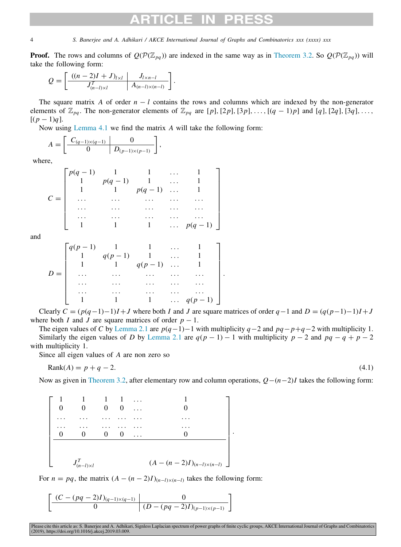**Proof.** The rows and columns of  $Q(\mathcal{P}(Z_{pq}))$  are indexed in the same way as in [Theorem](#page-1-2) [3.2.](#page-1-2) So  $Q(\mathcal{P}(Z_{pq}))$  will take the following form:

$$
Q = \left[ \frac{((n-2)I + J)_{l \times l}}{J_{(n-l) \times l}^T} \middle| \frac{J_{l \times n-l}}{A_{(n-l) \times (n-l)}} \right].
$$

The square matrix *A* of order *n* − *l* contains the rows and columns which are indexed by the non-generator elements of  $\mathbb{Z}_{pq}$ . The non-generator elements of  $\mathbb{Z}_{pq}$  are [p], [2p], [3p], ..., [(q - 1)p] and [q], [2q], [3q], ...,  $[(p-1)q]$ .

Now using [Lemma](#page-2-1) [4.1](#page-2-1) we find the matrix *A* will take the following form:

$$
A = \left[ \begin{array}{c|c} C_{(q-1)\times(q-1)} & 0 \\ \hline 0 & D_{(p-1)\times(p-1)} \end{array} \right],
$$

where,

$$
C = \begin{bmatrix} p(q-1) & 1 & 1 & \cdots & 1 \\ 1 & p(q-1) & 1 & \cdots & 1 \\ 1 & 1 & p(q-1) & \cdots & 1 \\ \cdots & \cdots & \cdots & \cdots & \cdots \\ \cdots & \cdots & \cdots & \cdots & \cdots \\ 1 & 1 & 1 & \cdots & p(q-1) \end{bmatrix}
$$

and

$$
D = \begin{bmatrix} q(p-1) & 1 & 1 & \dots & 1 \\ 1 & q(p-1) & 1 & \dots & 1 \\ 1 & 1 & q(p-1) & \dots & 1 \\ \dots & \dots & \dots & \dots & \dots \\ \dots & \dots & \dots & \dots & \dots \\ \dots & \dots & \dots & \dots & \dots \\ 1 & 1 & 1 & \dots & q(p-1) \end{bmatrix}
$$

Clearly  $C = (p(q-1)-1)I + J$  where both *I* and *J* are square matrices of order  $q-1$  and  $D = (q(p-1)-1)I + J$ where both *I* and *J* are square matrices of order  $p - 1$ .

.

The eigen values of *C* by [Lemma](#page-1-1) [2.1](#page-1-1) are *p*(*q*−1)−1 with multiplicity *q*−2 and *pq*−*p*+*q*−2 with multiplicity 1. Similarly the eigen values of *D* by [Lemma](#page-1-1) [2.1](#page-1-1) are  $q(p - 1) - 1$  with multiplicity  $p - 2$  and  $pq - q + p - 2$ with multiplicity 1.

Since all eigen values of *A* are non zero so

$$
Rank(A) = p + q - 2.\tag{4.1}
$$

Now as given in [Theorem](#page-1-2) [3.2,](#page-1-2) after elementary row and column operations, *Q*−(*n*−2)*I* takes the following form:

<span id="page-3-0"></span>.

| $\theta$ |                       | $\overline{1}$<br>$\theta$ | $\Omega$ | $\cdots$ |                                     |
|----------|-----------------------|----------------------------|----------|----------|-------------------------------------|
|          |                       |                            |          |          |                                     |
| $\theta$ |                       | 0                          |          |          |                                     |
|          |                       |                            |          |          |                                     |
|          | $J^T_{(n-l)\times l}$ |                            |          |          | $(A - (n - 2)I)_{(n-l)\times(n-l)}$ |

For  $n = pq$ , the matrix  $(A - (n-2)I)_{(n-l)\times(n-l)}$  takes the following form:

$$
\left[\frac{(C-(pq-2)I)_{(q-1)\times(q-1)}}{0}\middle|\frac{0}{(D-(pq-2)I)_{(p-1)\times(p-1)}}\right]
$$

Please cite this article as: S. Banerjee and A. Adhikari, Signless Laplacian spectrum of power graphs of finite cyclic groups, AKCE International Journal of Graphs and Combinatorics<br>(2019), https://doi.org/10.1016/j.akcej.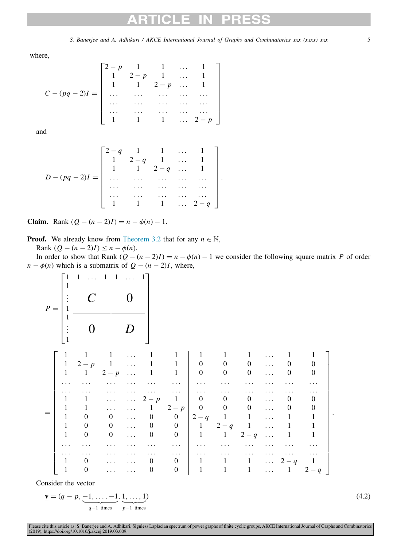## $\sim$

*S. Banerjee and A. Adhikari / AKCE International Journal of Graphs and Combinatorics xxx (xxxx) xxx* 5

where,

$$
C - (pq - 2)I = \begin{bmatrix} 2-p & 1 & 1 & \dots & 1 \\ 1 & 2-p & 1 & \dots & 1 \\ 1 & 1 & 2-p & \dots & 1 \\ \dots & \dots & \dots & \dots & \dots \\ \dots & \dots & \dots & \dots & \dots \\ 1 & 1 & 1 & \dots & 2-p \end{bmatrix}
$$

and

$$
D - (pq - 2)I = \begin{bmatrix} 2-q & 1 & 1 & \cdots & 1 \\ 1 & 2-q & 1 & \cdots & 1 \\ 1 & 1 & 2-q & \cdots & 1 \\ \cdots & \cdots & \cdots & \cdots & \cdots \\ \cdots & \cdots & \cdots & \cdots & \cdots \\ 1 & 1 & 1 & \cdots & 2-q \end{bmatrix}.
$$

**Claim.** Rank  $(Q - (n - 2)I) = n - \phi(n) - 1$ .

**Proof.** We already know from [Theorem](#page-1-2) [3.2](#page-1-2) that for any  $n \in \mathbb{N}$ ,

Rank  $(Q − (n − 2)I) ≤ n − φ(n)$ .

In order to show that Rank  $(Q - (n - 2)I) = n - \phi(n) - 1$  we consider the following square matrix *P* of order  $n - \phi(n)$  which is a submatrix of  $Q - (n - 2)I$ , where,



Consider the vector

$$
\underline{\mathbf{v}} = (q-p, \underbrace{-1, \dots, -1}_{q-1 \text{ times}}, \underbrace{1, \dots, 1}_{p-1 \text{ times}})
$$

 $)$  (4.2)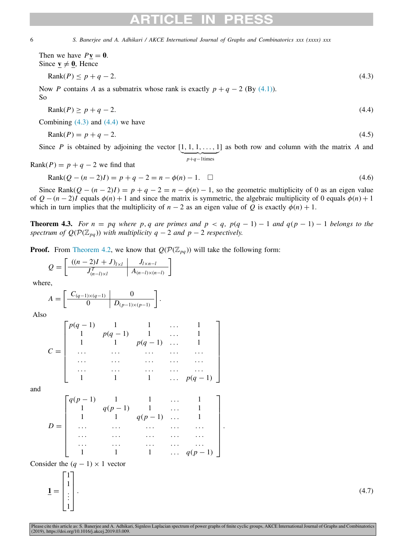Then we have  $P\mathbf{v} = \mathbf{0}$ . Since  $\underline{\mathbf{v}} \neq \underline{\mathbf{0}}$ , Hence

$$
Rank(P) \le p + q - 2. \tag{4.3}
$$

Now *P* contains *A* as a submatrix whose rank is exactly  $p + q - 2$  (By [\(4.1\)](#page-3-0)). So

<span id="page-5-1"></span><span id="page-5-0"></span>
$$
Rank(P) \ge p + q - 2. \tag{4.4}
$$

Combining  $(4.3)$  $(4.3)$  and  $(4.4)$  $(4.4)$  $(4.4)$  we have

$$
Rank(P) = p + q - 2.\tag{4.5}
$$

Since *P* is obtained by adjoining the vector  $[1, 1, 1, \ldots, 1]$  as both row and column with the matrix *A* and  $p+q-1$ times

Rank( $P$ ) =  $p + q - 2$  we find that

$$
Rank(Q - (n-2)I) = p + q - 2 = n - \phi(n) - 1. \quad \Box
$$
\n(4.6)

Since Rank $(Q - (n - 2)I) = p + q - 2 = n - \phi(n) - 1$ , so the geometric multiplicity of 0 as an eigen value of  $Q - (n-2)I$  equals  $\phi(n) + 1$  and since the matrix is symmetric, the algebraic multiplicity of 0 equals  $\phi(n) + 1$ which in turn implies that the multiplicity of  $n-2$  as an eigen value of *Q* is exactly  $\phi(n) + 1$ .

**Theorem 4.3.** For  $n = pq$  where p, q are primes and  $p < q$ ,  $p(q - 1) - 1$  and  $q(p - 1) - 1$  belongs to the *spectrum of Q*( $\mathcal{P}(\mathbb{Z}_{pq})$ ) *with multiplicity q* − 2 *and p* − 2 *respectively.* 

**Proof.** From [Theorem](#page-2-2) [4.2](#page-2-2), we know that  $Q(\mathcal{P}(\mathbb{Z}_{pa}))$  will take the following form:

$$
Q = \left[ \frac{((n-2)I + J)_{l \times l}}{J_{(n-l) \times l}^T} \middle| \frac{J_{l \times n-l}}{A_{(n-l) \times (n-l)}} \right]
$$

where,

$$
A = \left[ \begin{array}{c|c} C_{(q-1)\times(q-1)} & 0 \\ \hline 0 & D_{(p-1)\times(p-1)} \end{array} \right].
$$

Also

$$
C = \begin{bmatrix} p(q-1) & 1 & 1 & \dots & 1 \\ 1 & p(q-1) & 1 & \dots & 1 \\ 1 & 1 & p(q-1) & \dots & 1 \\ \dots & \dots & \dots & \dots & \dots \\ \dots & \dots & \dots & \dots & \dots \\ 1 & 1 & 1 & \dots & p(q-1) \end{bmatrix}
$$

and

$$
D = \begin{bmatrix} q(p-1) & 1 & 1 & \dots & 1 \\ 1 & q(p-1) & 1 & \dots & 1 \\ 1 & 1 & q(p-1) & \dots & 1 \\ \dots & \dots & \dots & \dots & \dots \\ \dots & \dots & \dots & \dots & \dots \\ 1 & 1 & 1 & \dots & q(p-1) \end{bmatrix}
$$

Consider the  $(q - 1) \times 1$  vector

 $\overline{1}$  =  $\Gamma$  $\Big\}$ 1 1 . . . 1 ⎤ ⎥ ⎥ ⎥ ⎦

.  $(4.7)$ 

.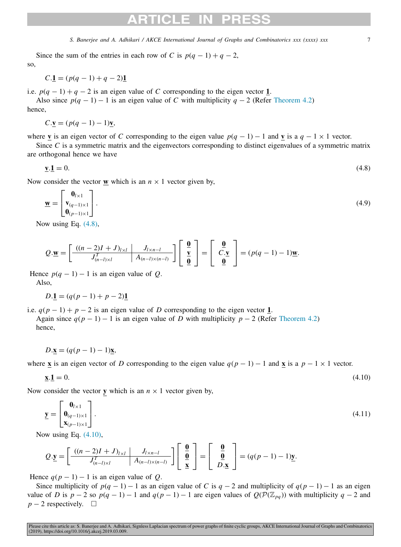Since the sum of the entries in each row of *C* is  $p(q - 1) + q - 2$ , so,

$$
C.\underline{1} = (p(q-1) + q - 2)\underline{1}
$$

i.e.  $p(q-1) + q - 2$  is an eigen value of *C* corresponding to the eigen vector 1.

Also since  $p(q - 1) - 1$  is an eigen value of *C* with multiplicity  $q - 2$  (Refer [Theorem](#page-2-2) [4.2\)](#page-2-2) hence,

$$
C.\underline{\mathbf{v}} = (p(q-1) - 1)\underline{\mathbf{v}},
$$

where **v** is an eigen vector of *C* corresponding to the eigen value  $p(q - 1) - 1$  and **v** is a  $q - 1 \times 1$  vector.

Since *C* is a symmetric matrix and the eigenvectors corresponding to distinct eigenvalues of a symmetric matrix are orthogonal hence we have

<span id="page-6-0"></span>
$$
\mathbf{v}.\mathbf{1} = 0.\tag{4.8}
$$

Now consider the vector **w** which is an  $n \times 1$  vector given by,

$$
\underline{\mathbf{w}} = \begin{bmatrix} \mathbf{0}_{l \times 1} \\ \mathbf{v}_{(q-1)\times 1} \\ \mathbf{0}_{(p-1)\times 1} \end{bmatrix} .
$$
 (4.9)

Now using Eq. ([4.8](#page-6-0)),

$$
Q \cdot \mathbf{\underline{w}} = \left[ \frac{((n-2)I + J)_{l \times l}}{J_{(n-l) \times l}^T} \middle| \frac{J_{l \times n-l}}{A_{(n-l) \times (n-l)}} \right] \left[ \begin{array}{c} \mathbf{\underline{0}} \\ \mathbf{\underline{v}} \\ \mathbf{\underline{0}} \end{array} \right] = \left[ \begin{array}{c} \mathbf{\underline{0}} \\ C \cdot \mathbf{\underline{v}} \\ \mathbf{\underline{0}} \end{array} \right] = (p(q-1) - 1) \mathbf{\underline{w}}.
$$

Hence  $p(q - 1) - 1$  is an eigen value of *Q*.

Also,

$$
D.\underline{1} = (q(p-1) + p - 2)\underline{1}
$$

i.e.  $q(p-1) + p - 2$  is an eigen value of *D* corresponding to the eigen vector 1.

Again since  $q(p-1) - 1$  is an eigen value of *D* with multiplicity  $p - 2$  (Refer [Theorem](#page-2-2) [4.2\)](#page-2-2) hence,

$$
D.\underline{\mathbf{x}} = (q(p-1)-1)\underline{\mathbf{x}},
$$

where **x** is an eigen vector of *D* corresponding to the eigen value  $q(p-1) - 1$  and **x** is a  $p - 1 \times 1$  vector.

<span id="page-6-1"></span>
$$
\underline{\mathbf{x}}.\underline{\mathbf{1}} = 0.\tag{4.10}
$$

Now consider the vector **y** which is an  $n \times 1$  vector given by,

$$
\underline{\mathbf{y}} = \begin{bmatrix} \mathbf{0}_{l \times 1} \\ \mathbf{0}_{(q-1)\times 1} \\ \mathbf{x}_{(p-1)\times 1} \end{bmatrix} .
$$
\n(4.11)

Now using Eq. ([4.10](#page-6-1)),

$$
Q \cdot \underline{\mathbf{y}} = \left[ \frac{((n-2)I + J)_{l \times l}}{J_{(n-l) \times l}^T} \middle| \frac{J_{l \times n-l}}{A_{(n-l) \times (n-l)}} \right] \left[ \begin{array}{c} \underline{\mathbf{0}} \\ \underline{\mathbf{0}} \\ \underline{\mathbf{x}} \end{array} \right] = \left[ \begin{array}{c} \underline{\mathbf{0}} \\ \underline{\mathbf{0}} \\ D \cdot \underline{\mathbf{x}} \end{array} \right] = (q(p-1) - 1)\underline{\mathbf{y}}.
$$

Hence  $q(p-1) - 1$  is an eigen value of *Q*.

Since multiplicity of  $p(q - 1) - 1$  as an eigen value of *C* is  $q - 2$  and multiplicity of  $q(p - 1) - 1$  as an eigen value of *D* is  $p - 2$  so  $p(q - 1) - 1$  and  $q(p - 1) - 1$  are eigen values of  $Q(\mathcal{P}(Z_{pq}))$  with multiplicity  $q - 2$  and  $p - 2$  respectively.  $\square$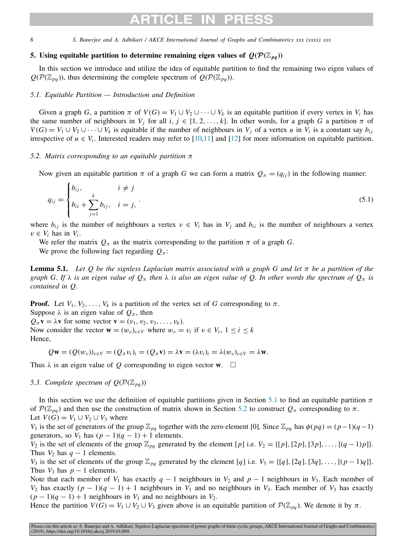## ARTICLE IN

8 *S. Banerjee and A. Adhikari / AKCE International Journal of Graphs and Combinatorics xxx (xxxx) xxx*

### 5. Using equitable partition to determine remaining eigen values of  $Q(\mathcal{P}(\mathbb{Z}_{pa}))$

<span id="page-7-0"></span>In this section we introduce and utilize the idea of equitable partition to find the remaining two eigen values of  $Q(\mathcal{P}(\mathbb{Z}_{pa}))$ , thus determining the complete spectrum of  $Q(\mathcal{P}(\mathbb{Z}_{pa}))$ .

### *5.1. Equitable Partition — Introduction and Definition*

<span id="page-7-1"></span>Given a graph *G*, a partition  $\pi$  of  $V(G) = V_1 \cup V_2 \cup \cdots \cup V_k$  is an equitable partition if every vertex in  $V_i$  has the same number of neighbours in  $V_j$  for all  $i, j \in \{1, 2, ..., k\}$ . In other words, for a graph *G* a partition  $\pi$  of  $V(G) = V_1 \cup V_2 \cup \cdots \cup V_k$  is equitable if the number of neighbours in  $V_j$  of a vertex *u* in  $V_i$  is a constant say  $b_{i,j}$ irrespective of  $u \in V_i$ . Interested readers may refer to [\[10](#page-10-8)[,11](#page-10-9)] and [[12\]](#page-10-10) for more information on equitable partition.

### *5.2. Matrix corresponding to an equitable partition* π

<span id="page-7-2"></span>Now given an equitable partition  $\pi$  of a graph *G* we can form a matrix  $Q_{\pi} = (q_{ij})$  in the following manner:

$$
q_{ij} = \begin{cases} b_{ij}, & i \neq j \\ b_{ii} + \sum_{j=1}^{k} b_{ij}, & i = j, \end{cases}
$$
 (5.1)

where  $b_{ij}$  is the number of neighbours a vertex  $v \in V_i$  has in  $V_j$  and  $b_{ii}$  is the number of neighbours a vertex  $v \in V_i$  has in  $V_i$ .

We refer the matrix  $Q_{\pi}$  as the matrix corresponding to the partition  $\pi$  of a graph *G*.

<span id="page-7-3"></span>We prove the following fact regarding  $Q_\pi$ :

Lemma 5.1. *Let Q be the signless Laplacian matrix associated with a graph G and let* π *be a partition of the graph G. If*  $\lambda$  *is an eigen value of*  $Q_\pi$  *then*  $\lambda$  *is also an eigen value of*  $Q$ *. In other words the spectrum of*  $Q_\pi$  *is contained in Q.*

**Proof.** Let  $V_1, V_2, \ldots, V_k$  is a partition of the vertex set of *G* corresponding to  $\pi$ . Suppose  $\lambda$  is an eigen value of  $Q_{\pi}$ , then  $Q_{\pi}$ **v** =  $\lambda$ **v** for some vector **v** =  $(v_1, v_2, v_3, \ldots, v_k)$ . Now consider the vector  $\mathbf{w} = (w_v)_{v \in V}$  where  $w_v = v_i$  if  $v \in V_i$ ,  $1 \le i \le k$ 

Hence,

$$
Q\mathbf{w} = (Q(w_v))_{v \in V} = (Q_\pi v_i)_i = (Q_\pi \mathbf{v}) = \lambda \mathbf{v} = (\lambda v_i)_i = \lambda (w_v)_{v \in V} = \lambda \mathbf{w}.
$$

Thus  $\lambda$  is an eigen value of Q corresponding to eigen vector **w**.  $\Box$ 

### *5.3. Complete spectrum of*  $Q(\mathcal{P}(\mathbb{Z}_{pq}))$

In this section we use the definition of equitable partitions given in Section [5.1](#page-7-1) to find an equitable partition  $\pi$ of  $\mathcal{P}(\mathbb{Z}_{pq})$  and then use the construction of matrix shown in Section [5.2](#page-7-2) to construct  $Q_\pi$  corresponding to  $\pi$ . Let  $V(G) = V_1 \cup V_2 \cup V_3$  where

*V*<sub>1</sub> is the set of generators of the group  $\mathbb{Z}_{pq}$  together with the zero element [0]. Since  $\mathbb{Z}_{pq}$  has  $\phi(pq) = (p-1)(q-1)$ generators, so  $V_1$  has  $(p-1)(q-1) + 1$  elements.

*V*<sub>2</sub> is the set of elements of the group  $\mathbb{Z}_{pq}$  generated by the element [*p*] i.e. *V*<sub>2</sub> = {[*p*], [2*p*], [3*p*], . . . , [(*q* − 1)*p*]}. Thus  $V_2$  has  $q-1$  elements.

*V*<sub>3</sub> is the set of elements of the group  $\mathbb{Z}_{pq}$  generated by the element [*q*] i.e. *V*<sub>3</sub> = {[*q*], [2*q*], [3*q*], . . . , [(*p* − 1)*q*]}. Thus  $V_3$  has  $p-1$  elements.

Note that each member of *V*<sub>1</sub> has exactly  $q - 1$  neighbours in *V*<sub>2</sub> and  $p - 1$  neighbours in *V*<sub>3</sub>. Each member of *V*<sub>2</sub> has exactly  $(p - 1)(q - 1) + 1$  neighbours in *V*<sub>1</sub> and no neighbours in *V*<sub>3</sub>. Each member of *V*<sub>3</sub> has exactly  $(p-1)(q-1)+1$  neighbours in  $V_1$  and no neighbours in  $V_2$ .

Hence the partition  $V(G) = V_1 \cup V_2 \cup V_3$  given above is an equitable partition of  $\mathcal{P}(\mathbb{Z}_{pq})$ . We denote it by  $\pi$ .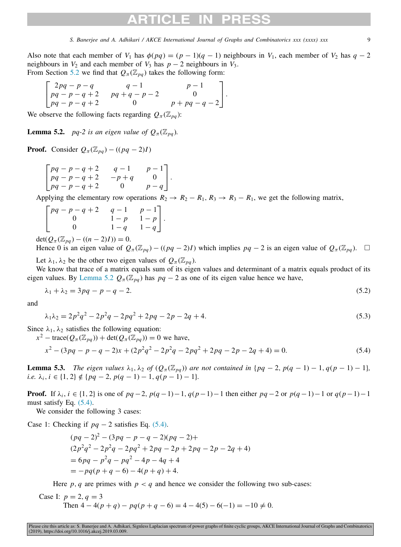Also note that each member of *V*<sub>1</sub> has  $\phi(pq) = (p-1)(q-1)$  neighbours in *V*<sub>1</sub>, each member of *V*<sub>2</sub> has  $q-2$ neighbours in  $V_2$  and each member of  $V_3$  has  $p-2$  neighbours in  $V_3$ . From Section [5.2](#page-7-2) we find that  $Q_{\pi}(\mathbb{Z}_{pq})$  takes the following form:

<span id="page-8-0"></span>
$$
\begin{bmatrix} 2pq - p - q & q - 1 & p - 1 \ pq - p - q + 2 & pq + q - p - 2 & 0 \ pq - p - q + 2 & 0 & p + pq - q - 2 \end{bmatrix}.
$$

We observe the following facts regarding  $Q_{\pi}(\mathbb{Z}_{pa})$ :

**Lemma 5.2.** *pq-2 is an eigen value of*  $Q_{\pi}(\mathbb{Z}_{pa})$ *.* 

**Proof.** Consider  $Q_{\pi}(\mathbb{Z}_{pq}) - ((pq-2)I)$ 

$$
\begin{bmatrix} pq-p-q+2 & q-1 & p-1 \ pq-p-q+2 & -p+q & 0 \ pq-p-q+2 & 0 & p-q \end{bmatrix}.
$$

Applying the elementary row operations  $R_2 \rightarrow R_2 - R_1$ ,  $R_3 \rightarrow R_3 - R_1$ , we get the following matrix,

| $\int pq - p - q + 2$ | $q-1$ $p-1$<br>$1-p$ $1-p$<br>$1-q$ $1-q$ |
|-----------------------|-------------------------------------------|
|                       |                                           |
|                       |                                           |
|                       |                                           |

 $\det(Q_{\pi}(\mathbb{Z}_{pa}) - ((n-2)I)) = 0.$ 

Hence 0 is an eigen value of  $Q_{\pi}(\mathbb{Z}_{pq}) - ((pq - 2)I)$  which implies  $pq - 2$  is an eigen value of  $Q_{\pi}(\mathbb{Z}_{pq})$ . □ Let  $\lambda_1, \lambda_2$  be the other two eigen values of  $Q_\pi(\mathbb{Z}_{pq})$ .

We know that trace of a matrix equals sum of its eigen values and determinant of a matrix equals product of its eigen values. By [Lemma](#page-8-0) [5.2](#page-8-0)  $Q_{\pi}(\mathbb{Z}_{pq})$  has  $pq-2$  as one of its eigen value hence we have,

$$
\lambda_1 + \lambda_2 = 3pq - p - q - 2. \tag{5.2}
$$

and

$$
\lambda_1 \lambda_2 = 2p^2 q^2 - 2p^2 q - 2pq^2 + 2pq - 2p - 2q + 4. \tag{5.3}
$$

Since  $\lambda_1, \lambda_2$  satisfies the following equation:

 $x^2$  – trace( $Q_\pi(\mathbb{Z}_{pq})$ ) + det( $Q_\pi(\mathbb{Z}_{pq})$ ) = 0 we have,

$$
x^{2} - (3pq - p - q - 2)x + (2p^{2}q^{2} - 2p^{2}q - 2pq^{2} + 2pq - 2p - 2q + 4) = 0.
$$
 (5.4)

<span id="page-8-2"></span>**Lemma 5.3.** *The eigen values*  $\lambda_1, \lambda_2$  *of*  $(Q_\pi(\mathbb{Z}_{pq}))$  *are not contained in*  $\{pq-2, pq-1\} - 1, q(p-1) - 1\}$ *,*  $i.e. \lambda_i, i \in \{1, 2\} \notin \{pq - 2, p(q - 1) - 1, q(p - 1) - 1\}.$ 

**Proof.** If  $\lambda_i$ ,  $i \in \{1, 2\}$  is one of  $pq - 2$ ,  $p(q - 1) - 1$ ,  $q(p - 1) - 1$  then either  $pq - 2$  or  $p(q - 1) - 1$  or  $q(p - 1) - 1$ must satisfy Eq. [\(5.4\)](#page-8-1).

We consider the following 3 cases:

Case 1: Checking if  $pq - 2$  satisfies Eq. ([5.4](#page-8-1)).

<span id="page-8-1"></span>
$$
(pq-2)^2 - (3pq - p - q - 2)(pq - 2) +
$$
  
\n
$$
(2p^2q^2 - 2p^2q - 2pq^2 + 2pq - 2p + 2pq - 2p - 2q + 4)
$$
  
\n
$$
= 6pq - p^2q - pq^2 - 4p - 4q + 4
$$
  
\n
$$
= -pq(p+q-6) - 4(p+q) + 4.
$$

Here  $p, q$  are primes with  $p < q$  and hence we consider the following two sub-cases:

Case I: 
$$
p = 2
$$
,  $q = 3$   
Then  $4 - 4(p + q) - pq(p + q - 6) = 4 - 4(5) - 6(-1) = -10 \neq 0$ .

Please cite this article as: S. Banerjee and A. Adhikari, Signless Laplacian spectrum of power graphs of finite cyclic groups, AKCE International Journal of Graphs and Combinatorics (2019), https://doi.org/10.1016/j.akcej.2019.03.009.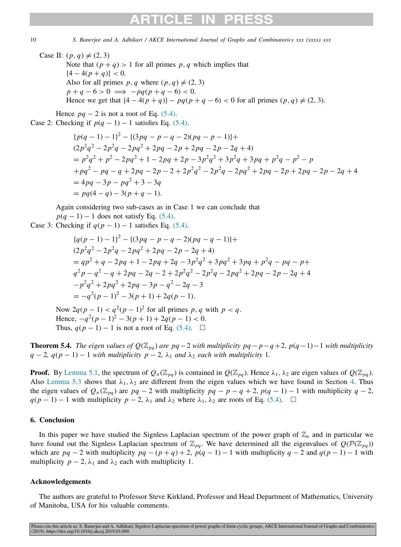Case II:  $(p, q) \neq (2, 3)$ Note that  $(p+q) > 1$  for all primes p, q which implies that  ${4-4(p+q)}<0.$ Also for all primes  $p, q$  where  $(p, q) \neq (2, 3)$  $p + q - 6 > 0 \implies -pq(p + q - 6) < 0.$ Hence we get that  $\{4-4(p+q)\} - pq(p+q-6) < 0$  for all primes  $(p, q) \neq (2, 3)$ .

Hence  $pq - 2$  is not a root of Eq. [\(5.4\)](#page-8-1). Case 2: Checking if  $p(q - 1) - 1$  satisfies Eq. [\(5.4\)](#page-8-1).

$$
{p(q - 1) - 1}^{2} - {(3pq - p - q - 2)(pq - p - 1)} +
$$
  
\n
$$
(2p^{2}q^{2} - 2p^{2}q - 2pq^{2} + 2pq - 2p + 2pq - 2p - 2q + 4)
$$
  
\n
$$
= p^{2}q^{2} + p^{2} - 2pq^{2} + 1 - 2pq + 2p - 3p^{2}q^{2} + 3p^{2}q + 3pq + p^{2}q - p^{2} - p
$$
  
\n
$$
+pq^{2} - pq - q + 2pq - 2p - 2 + 2p^{2}q^{2} - 2p^{2}q - 2pq^{2} + 2pq - 2p + 2pq - 2p - 2q + 4
$$
  
\n
$$
= 4pq - 3p - pq^{2} + 3 - 3q
$$
  
\n
$$
= pq(4 - q) - 3(p + q - 1).
$$

Again considering two sub-cases as in Case 1 we can conclude that  $p(q - 1) - 1$  does not satisfy Eq. ([5.4](#page-8-1)).

Case 3: Checking if  $q(p-1) - 1$  satisfies Eq. [\(5.4\)](#page-8-1).

$$
{q(p - 1) - 1}^{2} - {(3pq - p - q - 2)(pq - q - 1)} +
$$
  
\n
$$
(2p^{2}q^{2} - 2p^{2}q - 2pq^{2} + 2pq - 2p - 2q + 4)
$$
  
\n
$$
= qp^{2} + q - 2pq + 1 - 2pq + 2q - 3p^{2}q^{2} + 3pq^{2} + 3pq + p^{2}q - pq - p +
$$
  
\n
$$
q^{2}p - q^{2} - q + 2pq - 2q - 2 + 2p^{2}q^{2} - 2p^{2}q - 2pq^{2} + 2pq - 2p - 2q + 4
$$
  
\n
$$
-p^{2}q^{2} + 2pq^{2} + 2pq - 3p - q^{2} - 2q - 3
$$
  
\n
$$
= -q^{2}(p - 1)^{2} - 3(p + 1) + 2q(p - 1).
$$

Now  $2q(p-1) < q^2(p-1)^2$  for all primes p, q with  $p < q$ . Hence,  $-q^2(p-1)^2 - 3(p+1) + 2q(p-1) < 0$ . Thus,  $q(p-1) - 1$  is not a root of Eq. [\(5.4\)](#page-8-1).  $\Box$ 

**Theorem 5.4.** *The eigen values of*  $Q(\mathbb{Z}_{pq})$  *are pq* − 2 *with multiplicity pq* − *p*−*q* + 2, *p*(*q* − 1)−1 *with multiplicity*  $q-2$ ,  $q(p-1)-1$  *with multiplicity*  $p-2$ ,  $\lambda_1$  *and*  $\lambda_2$  *each with multiplicity* 1*.* 

**Proof.** By [Lemma](#page-7-3) [5.1](#page-7-3), the spectrum of  $Q_{\pi}(\mathbb{Z}_{pq})$  is contained in  $Q(\mathbb{Z}_{pq})$ . Hence  $\lambda_1, \lambda_2$  are eigen values of  $Q(\mathbb{Z}_{pq})$ . Also [Lemma](#page-8-2) [5.3](#page-8-2) shows that  $\lambda_1$ ,  $\lambda_2$  are different from the eigen values which we have found in Section [4.](#page-2-0) Thus the eigen values of  $Q_{\pi}(\mathbb{Z}_{pq})$  are  $pq-2$  with multiplicity  $pq-p-q+2$ ,  $p(q-1)-1$  with multiplicity  $q-2$ ,  $q(p-1) - 1$  with multiplicity  $p-2$ ,  $\lambda_1$  and  $\lambda_2$  where  $\lambda_1$ ,  $\lambda_2$  are roots of Eq. [\(5.4\)](#page-8-1). □

### 6. Conclusion

In this paper we have studied the Signless Laplacian spectrum of the power graph of  $\mathbb{Z}_n$  and in particular we have found out the Signless Laplacian spectrum of  $\mathbb{Z}_{pq}$ . We have determined all the eigenvalues of  $Q(\mathcal{P}(\mathbb{Z}_{pq}))$ which are  $pq - 2$  with multiplicity  $pq - (p + q) + 2$ ,  $p(q - 1) - 1$  with multiplicity  $q - 2$  and  $q(p - 1) - 1$  with multiplicity  $p - 2$ ,  $\lambda_1$  and  $\lambda_2$  each with multiplicity 1.

### Acknowledgements

The authors are grateful to Professor Steve Kirkland, Professor and Head Department of Mathematics, University of Manitoba, USA for his valuable comments.

Please cite this article as: S. Banerjee and A. Adhikari, Signless Laplacian spectrum of power graphs of finite cyclic groups, AKCE International Journal of Graphs and Combinatorics (2019), https://doi.org/10.1016/j.akcej.2019.03.009.